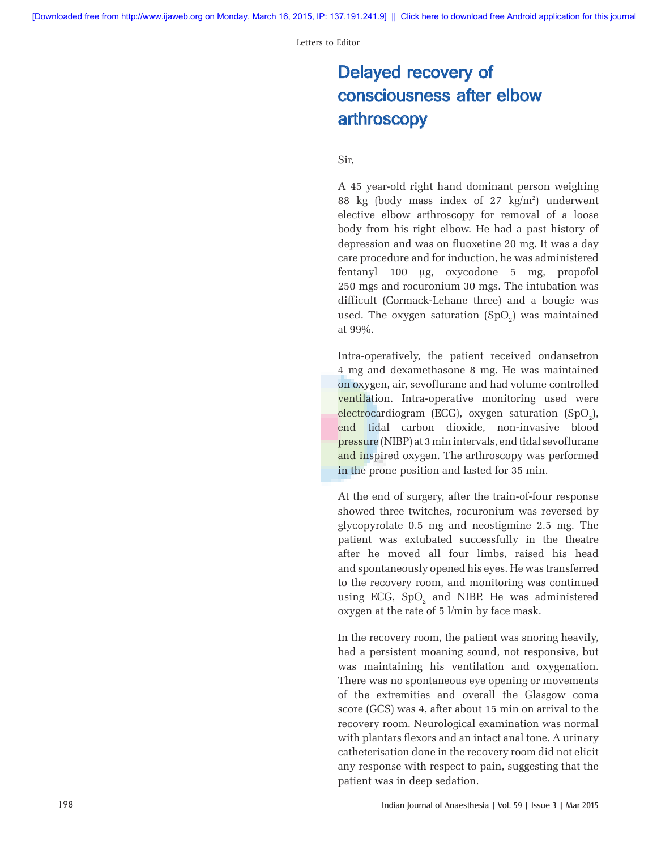Letters to Editor

# Delayed recovery of consciousness after elbow arthroscopy

### Sir,

A 45 year‑old right hand dominant person weighing 88 kg (body mass index of 27 kg/m2 ) underwent elective elbow arthroscopy for removal of a loose body from his right elbow. He had a past history of depression and was on fluoxetine 20 mg. It was a day care procedure and for induction, he was administered fentanyl 100 µg, oxycodone 5 mg, propofol 250 mgs and rocuronium 30 mgs. The intubation was difficult (Cormack‑Lehane three) and a bougie was used. The oxygen saturation  $(SpO<sub>2</sub>)$  was maintained at 99%.

Intra‑operatively, the patient received ondansetron 4 mg and dexamethasone 8 mg. He was maintained on oxygen, air, sevoflurane and had volume controlled ventilation. Intra-operative monitoring used were electrocardiogram (ECG), oxygen saturation (SpO<sub>2</sub>), end tidal carbon dioxide, non‑invasive blood pressure (NIBP) at 3min intervals, end tidal sevoflurane and inspired oxygen. The arthroscopy was performed in the prone position and lasted for 35 min.

At the end of surgery, after the train-of-four response showed three twitches, rocuronium was reversed by glycopyrolate 0.5 mg and neostigmine 2.5 mg. The patient was extubated successfully in the theatre after he moved all four limbs, raised his head and spontaneously opened his eyes. He was transferred to the recovery room, and monitoring was continued using ECG,  $SpO<sub>2</sub>$  and NIBP. He was administered oxygen at the rate of 5 l/min by face mask.

In the recovery room, the patient was snoring heavily, had a persistent moaning sound, not responsive, but was maintaining his ventilation and oxygenation. There was no spontaneous eye opening or movements of the extremities and overall the Glasgow coma score (GCS) was 4, after about 15 min on arrival to the recovery room. Neurological examination was normal with plantars flexors and an intact anal tone. A urinary catheterisation done in the recovery room did not elicit any response with respect to pain, suggesting that the patient was in deep sedation.